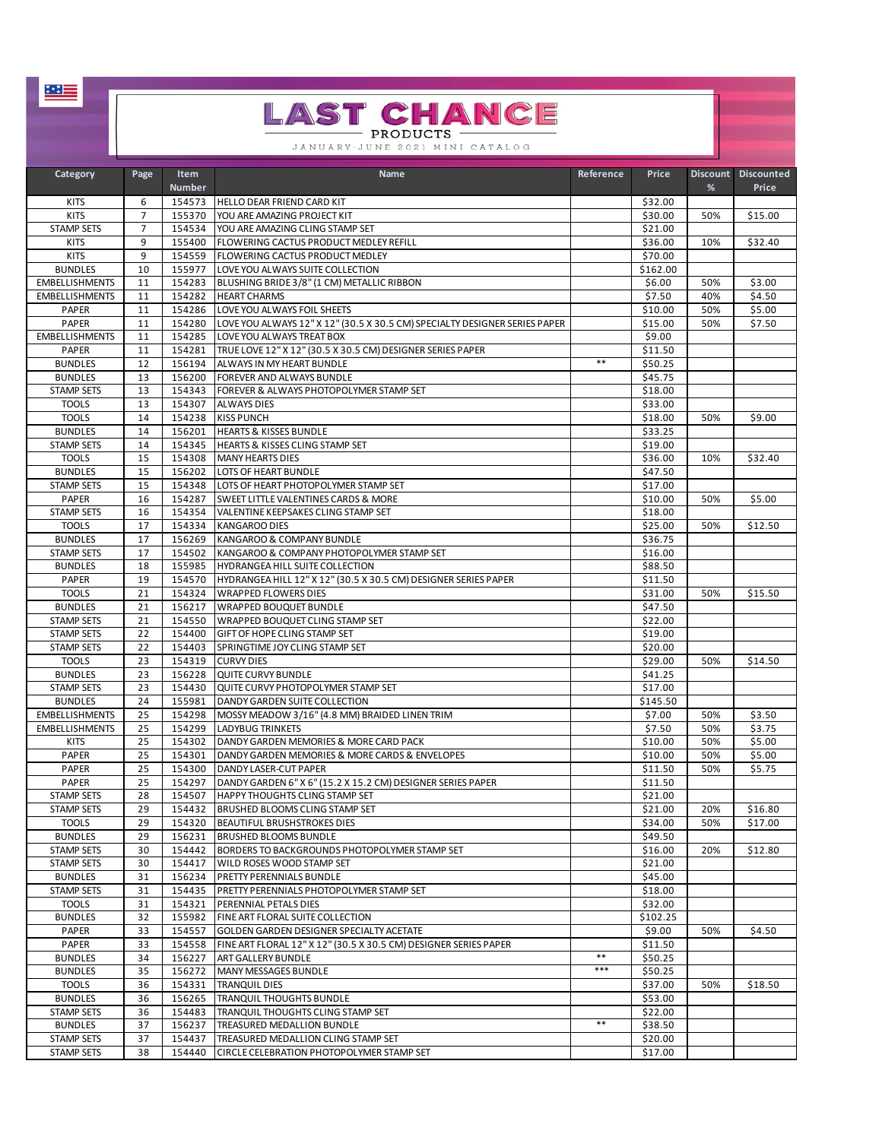|                                         |                     |                       | <b>LAST CHANCE</b>                                                                                      |           |                    |                      |                            |
|-----------------------------------------|---------------------|-----------------------|---------------------------------------------------------------------------------------------------------|-----------|--------------------|----------------------|----------------------------|
|                                         |                     |                       | - PRODUCTS ·                                                                                            |           |                    |                      |                            |
|                                         |                     |                       | JANUARY-JUNE 2021 MINI CATALOG                                                                          |           |                    |                      |                            |
| Category                                | Page                | Item<br><b>Number</b> | Name                                                                                                    | Reference | Price              | <b>Discount</b><br>% | <b>Discounted</b><br>Price |
| <b>KITS</b>                             | 6                   | 154573                | HELLO DEAR FRIEND CARD KIT                                                                              |           | \$32.00            |                      |                            |
| <b>KITS</b><br><b>STAMP SETS</b>        | $\overline{7}$<br>7 | 155370<br>154534      | YOU ARE AMAZING PROJECT KIT<br>YOU ARE AMAZING CLING STAMP SET                                          |           | \$30.00<br>\$21.00 | 50%                  | \$15.00                    |
| <b>KITS</b>                             | 9                   | 155400                | FLOWERING CACTUS PRODUCT MEDLEY REFILL                                                                  |           | \$36.00            | 10%                  | \$32.40                    |
| <b>KITS</b>                             | 9                   | 154559                | FLOWERING CACTUS PRODUCT MEDLEY                                                                         |           | \$70.00            |                      |                            |
| <b>BUNDLES</b><br><b>EMBELLISHMENTS</b> | 10<br>11            | 155977<br>154283      | LOVE YOU ALWAYS SUITE COLLECTION<br>BLUSHING BRIDE 3/8" (1 CM) METALLIC RIBBON                          |           | \$162.00<br>\$6.00 | 50%                  | \$3.00                     |
| <b>EMBELLISHMENTS</b>                   | 11                  | 154282                | <b>HEART CHARMS</b>                                                                                     |           | \$7.50             | 40%                  | \$4.50                     |
| PAPER                                   | 11                  | 154286                | LOVE YOU ALWAYS FOIL SHEETS                                                                             |           | \$10.00            | 50%                  | \$5.00                     |
| PAPER<br><b>EMBELLISHMENTS</b>          | 11<br>11            | 154280<br>154285      | LOVE YOU ALWAYS 12" X 12" (30.5 X 30.5 CM) SPECIALTY DESIGNER SERIES PAPER<br>LOVE YOU ALWAYS TREAT BOX |           | \$15.00<br>\$9.00  | 50%                  | \$7.50                     |
| PAPER                                   | 11                  | 154281                | TRUE LOVE 12" X 12" (30.5 X 30.5 CM) DESIGNER SERIES PAPER                                              |           | \$11.50            |                      |                            |
| <b>BUNDLES</b>                          | 12                  | 156194                | ALWAYS IN MY HEART BUNDLE                                                                               | $***$     | \$50.25            |                      |                            |
| <b>BUNDLES</b>                          | 13                  | 156200                | FOREVER AND ALWAYS BUNDLE                                                                               |           | \$45.75            |                      |                            |
| <b>STAMP SETS</b><br><b>TOOLS</b>       | 13<br>13            | 154343<br>154307      | FOREVER & ALWAYS PHOTOPOLYMER STAMP SET<br><b>ALWAYS DIES</b>                                           |           | \$18.00<br>\$33.00 |                      |                            |
| <b>TOOLS</b>                            | 14                  | 154238                | <b>KISS PUNCH</b>                                                                                       |           | \$18.00            | 50%                  | \$9.00                     |
| <b>BUNDLES</b>                          | 14                  | 156201                | <b>HEARTS &amp; KISSES BUNDLE</b>                                                                       |           | \$33.25            |                      |                            |
| <b>STAMP SETS</b>                       | 14                  | 154345                | HEARTS & KISSES CLING STAMP SET                                                                         |           | \$19.00            |                      |                            |
| <b>TOOLS</b><br><b>BUNDLES</b>          | 15<br>15            | 154308<br>156202      | <b>MANY HEARTS DIES</b><br>LOTS OF HEART BUNDLE                                                         |           | \$36.00<br>\$47.50 | 10%                  | \$32.40                    |
| <b>STAMP SETS</b>                       | 15                  | 154348                | LOTS OF HEART PHOTOPOLYMER STAMP SET                                                                    |           | \$17.00            |                      |                            |
| PAPER                                   | 16                  | 154287                | SWEET LITTLE VALENTINES CARDS & MORE                                                                    |           | \$10.00            | 50%                  | \$5.00                     |
| <b>STAMP SETS</b>                       | 16                  | 154354                | VALENTINE KEEPSAKES CLING STAMP SET                                                                     |           | \$18.00            |                      |                            |
| <b>TOOLS</b><br><b>BUNDLES</b>          | 17<br>17            | 154334<br>156269      | <b>KANGAROO DIES</b><br>KANGAROO & COMPANY BUNDLE                                                       |           | \$25.00<br>\$36.75 | 50%                  | \$12.50                    |
| <b>STAMP SETS</b>                       | 17                  | 154502                | KANGAROO & COMPANY PHOTOPOLYMER STAMP SET                                                               |           | \$16.00            |                      |                            |
| <b>BUNDLES</b>                          | 18                  | 155985                | HYDRANGEA HILL SUITE COLLECTION                                                                         |           | \$88.50            |                      |                            |
| PAPER                                   | 19                  | 154570                | HYDRANGEA HILL 12" X 12" (30.5 X 30.5 CM) DESIGNER SERIES PAPER                                         |           | \$11.50            |                      |                            |
| <b>TOOLS</b><br><b>BUNDLES</b>          | 21<br>21            | 154324<br>156217      | <b>WRAPPED FLOWERS DIES</b><br><b>WRAPPED BOUQUET BUNDLE</b>                                            |           | \$31.00<br>\$47.50 | 50%                  | \$15.50                    |
| <b>STAMP SETS</b>                       | 21                  | 154550                | WRAPPED BOUQUET CLING STAMP SET                                                                         |           | \$22.00            |                      |                            |
| <b>STAMP SETS</b>                       | 22                  | 154400                | GIFT OF HOPE CLING STAMP SET                                                                            |           | \$19.00            |                      |                            |
| <b>STAMP SETS</b>                       | 22                  | 154403                | SPRINGTIME JOY CLING STAMP SET                                                                          |           | \$20.00            |                      |                            |
| <b>TOOLS</b><br><b>BUNDLES</b>          | 23<br>23            | 154319<br>156228      | <b>CURVY DIES</b><br>QUITE CURVY BUNDLE                                                                 |           | \$29.00<br>\$41.25 | 50%                  | \$14.50                    |
| <b>STAMP SETS</b>                       | 23                  | 154430                | QUITE CURVY PHOTOPOLYMER STAMP SET                                                                      |           | \$17.00            |                      |                            |
| <b>BUNDLES</b>                          | 24                  | 155981                | DANDY GARDEN SUITE COLLECTION                                                                           |           | \$145.50           |                      |                            |
| <b>EMBELLISHMENTS</b>                   | 25                  | 154298                | MOSSY MEADOW 3/16" (4.8 MM) BRAIDED LINEN TRIM                                                          |           | \$7.00             | 50%                  | \$3.50                     |
| <b>EMBELLISHMENTS</b><br><b>KITS</b>    | 25<br>25            | 154299<br>154302      | <b>LADYBUG TRINKETS</b><br>DANDY GARDEN MEMORIES & MORE CARD PACK                                       |           | \$7.50<br>\$10.00  | 50%<br>50%           | \$3.75<br>\$5.00           |
| PAPER                                   | 25                  | 154301                | DANDY GARDEN MEMORIES & MORE CARDS & ENVELOPES                                                          |           | \$10.00            | 50%                  | \$5.00                     |
| PAPER                                   | 25                  | 154300                | DANDY LASER-CUT PAPER                                                                                   |           | \$11.50            | 50%                  | \$5.75                     |
| PAPER<br><b>STAMP SETS</b>              | 25<br>28            | 154297<br>154507      | DANDY GARDEN 6" X 6" (15.2 X 15.2 CM) DESIGNER SERIES PAPER<br>HAPPY THOUGHTS CLING STAMP SET           |           | \$11.50<br>\$21.00 |                      |                            |
| <b>STAMP SETS</b>                       | 29                  | 154432                | <b>BRUSHED BLOOMS CLING STAMP SET</b>                                                                   |           | \$21.00            | 20%                  | \$16.80                    |
| <b>TOOLS</b>                            | 29                  | 154320                | <b>BEAUTIFUL BRUSHSTROKES DIES</b>                                                                      |           | \$34.00            | 50%                  | \$17.00                    |
| <b>BUNDLES</b>                          | 29                  | 156231                | <b>BRUSHED BLOOMS BUNDLE</b>                                                                            |           | \$49.50            |                      |                            |
| <b>STAMP SETS</b><br><b>STAMP SETS</b>  | 30<br>30            | 154442<br>154417      | BORDERS TO BACKGROUNDS PHOTOPOLYMER STAMP SET<br>WILD ROSES WOOD STAMP SET                              |           | \$16.00<br>\$21.00 | 20%                  | \$12.80                    |
| <b>BUNDLES</b>                          | 31                  | 156234                | PRETTY PERENNIALS BUNDLE                                                                                |           | \$45.00            |                      |                            |
| <b>STAMP SETS</b>                       | 31                  | 154435                | PRETTY PERENNIALS PHOTOPOLYMER STAMP SET                                                                |           | \$18.00            |                      |                            |
| <b>TOOLS</b>                            | 31                  | 154321                | PERENNIAL PETALS DIES                                                                                   |           | \$32.00            |                      |                            |
| <b>BUNDLES</b><br>PAPER                 | 32<br>33            | 155982<br>154557      | FINE ART FLORAL SUITE COLLECTION<br>GOLDEN GARDEN DESIGNER SPECIALTY ACETATE                            |           | \$102.25<br>\$9.00 | 50%                  | \$4.50                     |
| PAPER                                   | 33                  | 154558                | FINE ART FLORAL 12" X 12" (30.5 X 30.5 CM) DESIGNER SERIES PAPER                                        |           | \$11.50            |                      |                            |
| <b>BUNDLES</b>                          | 34                  | 156227                | ART GALLERY BUNDLE                                                                                      | $**$      | \$50.25            |                      |                            |
| <b>BUNDLES</b>                          | 35                  | 156272                | MANY MESSAGES BUNDLE                                                                                    | $***$     | \$50.25            |                      |                            |
| <b>TOOLS</b><br><b>BUNDLES</b>          | 36<br>36            | 154331<br>156265      | <b>TRANQUIL DIES</b><br>TRANQUIL THOUGHTS BUNDLE                                                        |           | \$37.00<br>\$53.00 | 50%                  | \$18.50                    |
| <b>STAMP SETS</b>                       | 36                  | 154483                | TRANQUIL THOUGHTS CLING STAMP SET                                                                       |           | \$22.00            |                      |                            |
| <b>BUNDLES</b>                          | 37                  | 156237                | TREASURED MEDALLION BUNDLE                                                                              | $**$      | \$38.50            |                      |                            |
| <b>STAMP SETS</b>                       | 37                  | 154437                | TREASURED MEDALLION CLING STAMP SET                                                                     |           | \$20.00            |                      |                            |
| <b>STAMP SETS</b>                       | 38                  | 154440                | CIRCLE CELEBRATION PHOTOPOLYMER STAMP SET                                                               |           | \$17.00            |                      |                            |